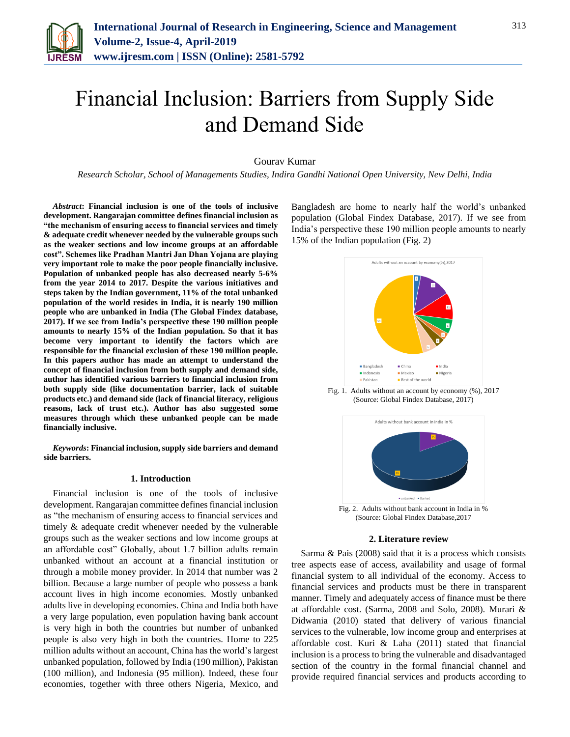

# Financial Inclusion: Barriers from Supply Side and Demand Side

# Gourav Kumar

*Research Scholar, School of Managements Studies, Indira Gandhi National Open University, New Delhi, India*

*Abstract***: Financial inclusion is one of the tools of inclusive development. Rangarajan committee defines financial inclusion as "the mechanism of ensuring access to financial services and timely & adequate credit whenever needed by the vulnerable groups such as the weaker sections and low income groups at an affordable cost". Schemes like Pradhan Mantri Jan Dhan Yojana are playing very important role to make the poor people financially inclusive. Population of unbanked people has also decreased nearly 5-6% from the year 2014 to 2017. Despite the various initiatives and steps taken by the Indian government, 11% of the total unbanked population of the world resides in India, it is nearly 190 million people who are unbanked in India (The Global Findex database, 2017). If we see from India's perspective these 190 million people amounts to nearly 15% of the Indian population. So that it has become very important to identify the factors which are responsible for the financial exclusion of these 190 million people. In this papers author has made an attempt to understand the concept of financial inclusion from both supply and demand side, author has identified various barriers to financial inclusion from both supply side (like documentation barrier, lack of suitable products etc.) and demand side (lack of financial literacy, religious reasons, lack of trust etc.). Author has also suggested some measures through which these unbanked people can be made financially inclusive.**

*Keywords***: Financial inclusion, supply side barriers and demand side barriers.**

#### **1. Introduction**

Financial inclusion is one of the tools of inclusive development. Rangarajan committee defines financial inclusion as "the mechanism of ensuring access to financial services and timely & adequate credit whenever needed by the vulnerable groups such as the weaker sections and low income groups at an affordable cost" Globally, about 1.7 billion adults remain unbanked without an account at a financial institution or through a mobile money provider. In 2014 that number was 2 billion. Because a large number of people who possess a bank account lives in high income economies. Mostly unbanked adults live in developing economies. China and India both have a very large population, even population having bank account is very high in both the countries but number of unbanked people is also very high in both the countries. Home to 225 million adults without an account, China has the world's largest unbanked population, followed by India (190 million), Pakistan (100 million), and Indonesia (95 million). Indeed, these four economies, together with three others Nigeria, Mexico, and

Bangladesh are home to nearly half the world's unbanked population (Global Findex Database, 2017). If we see from India's perspective these 190 million people amounts to nearly 15% of the Indian population (Fig. 2)



#### **2. Literature review**

Sarma & Pais (2008) said that it is a process which consists tree aspects ease of access, availability and usage of formal financial system to all individual of the economy. Access to financial services and products must be there in transparent manner. Timely and adequately access of finance must be there at affordable cost. (Sarma, 2008 and Solo, 2008). Murari & Didwania (2010) stated that delivery of various financial services to the vulnerable, low income group and enterprises at affordable cost. Kuri & Laha (2011) stated that financial inclusion is a process to bring the vulnerable and disadvantaged section of the country in the formal financial channel and provide required financial services and products according to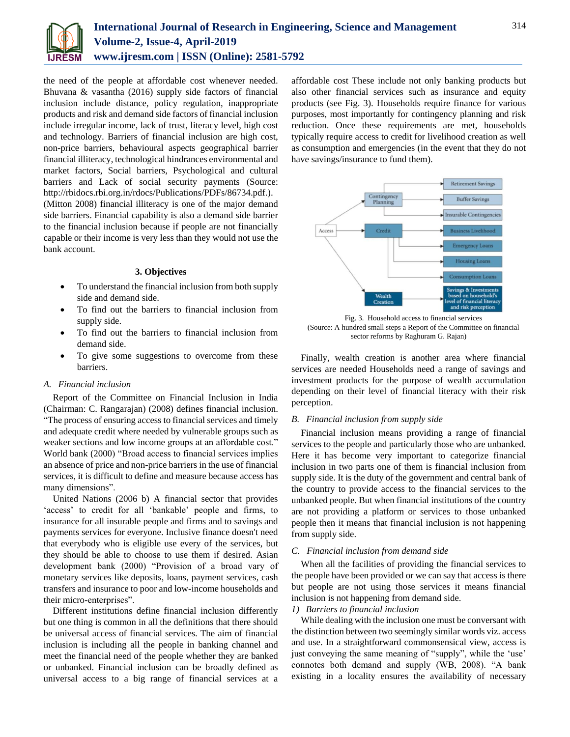

the need of the people at affordable cost whenever needed. Bhuvana & vasantha (2016) supply side factors of financial inclusion include distance, policy regulation, inappropriate products and risk and demand side factors of financial inclusion include irregular income, lack of trust, literacy level, high cost and technology. Barriers of financial inclusion are high cost, non-price barriers, behavioural aspects geographical barrier financial illiteracy, technological hindrances environmental and market factors, Social barriers, Psychological and cultural barriers and Lack of social security payments (Source: http://rbidocs.rbi.org.in/rdocs/Publications/PDFs/86734.pdf.). (Mitton 2008) financial illiteracy is one of the major demand side barriers. Financial capability is also a demand side barrier to the financial inclusion because if people are not financially capable or their income is very less than they would not use the

## **3. Objectives**

- To understand the financial inclusion from both supply side and demand side.
- To find out the barriers to financial inclusion from supply side.
- To find out the barriers to financial inclusion from demand side.
- To give some suggestions to overcome from these barriers.

# *A. Financial inclusion*

bank account.

Report of the Committee on Financial Inclusion in India (Chairman: C. Rangarajan) (2008) defines financial inclusion. "The process of ensuring access to financial services and timely and adequate credit where needed by vulnerable groups such as weaker sections and low income groups at an affordable cost." World bank (2000) "Broad access to financial services implies an absence of price and non-price barriers in the use of financial services, it is difficult to define and measure because access has many dimensions".

United Nations (2006 b) A financial sector that provides 'access' to credit for all 'bankable' people and firms, to insurance for all insurable people and firms and to savings and payments services for everyone. Inclusive finance doesn't need that everybody who is eligible use every of the services, but they should be able to choose to use them if desired. Asian development bank (2000) "Provision of a broad vary of monetary services like deposits, loans, payment services, cash transfers and insurance to poor and low-income households and their micro-enterprises".

Different institutions define financial inclusion differently but one thing is common in all the definitions that there should be universal access of financial services. The aim of financial inclusion is including all the people in banking channel and meet the financial need of the people whether they are banked or unbanked. Financial inclusion can be broadly defined as universal access to a big range of financial services at a

affordable cost These include not only banking products but also other financial services such as insurance and equity products (see Fig. 3). Households require finance for various purposes, most importantly for contingency planning and risk reduction. Once these requirements are met, households typically require access to credit for livelihood creation as well as consumption and emergencies (in the event that they do not have savings/insurance to fund them).



Fig. 3. Household access to financial services (Source: A hundred small steps a Report of the Committee on financial sector reforms by Raghuram G. Rajan)

Finally, wealth creation is another area where financial services are needed Households need a range of savings and investment products for the purpose of wealth accumulation depending on their level of financial literacy with their risk perception.

### *B. Financial inclusion from supply side*

Financial inclusion means providing a range of financial services to the people and particularly those who are unbanked. Here it has become very important to categorize financial inclusion in two parts one of them is financial inclusion from supply side. It is the duty of the government and central bank of the country to provide access to the financial services to the unbanked people. But when financial institutions of the country are not providing a platform or services to those unbanked people then it means that financial inclusion is not happening from supply side.

## *C. Financial inclusion from demand side*

When all the facilities of providing the financial services to the people have been provided or we can say that access is there but people are not using those services it means financial inclusion is not happening from demand side.

## *1) Barriers to financial inclusion*

While dealing with the inclusion one must be conversant with the distinction between two seemingly similar words viz. access and use. In a straightforward commonsensical view, access is just conveying the same meaning of "supply", while the 'use' connotes both demand and supply (WB, 2008). "A bank existing in a locality ensures the availability of necessary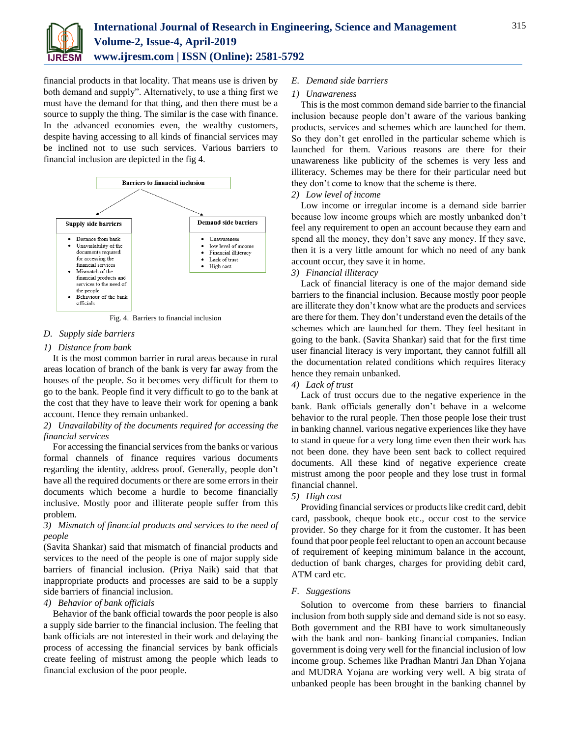

financial products in that locality. That means use is driven by both demand and supply". Alternatively, to use a thing first we must have the demand for that thing, and then there must be a source to supply the thing. The similar is the case with finance. In the advanced economies even, the wealthy customers, despite having accessing to all kinds of financial services may be inclined not to use such services. Various barriers to financial inclusion are depicted in the fig 4.



Fig. 4. Barriers to financial inclusion

# *D. Supply side barriers*

# *1) Distance from bank*

It is the most common barrier in rural areas because in rural areas location of branch of the bank is very far away from the houses of the people. So it becomes very difficult for them to go to the bank. People find it very difficult to go to the bank at the cost that they have to leave their work for opening a bank account. Hence they remain unbanked.

# *2) Unavailability of the documents required for accessing the financial services*

For accessing the financial services from the banks or various formal channels of finance requires various documents regarding the identity, address proof. Generally, people don't have all the required documents or there are some errors in their documents which become a hurdle to become financially inclusive. Mostly poor and illiterate people suffer from this problem.

# *3) Mismatch of financial products and services to the need of people*

(Savita Shankar) said that mismatch of financial products and services to the need of the people is one of major supply side barriers of financial inclusion. (Priya Naik) said that that inappropriate products and processes are said to be a supply side barriers of financial inclusion.

# *4) Behavior of bank officials*

Behavior of the bank official towards the poor people is also a supply side barrier to the financial inclusion. The feeling that bank officials are not interested in their work and delaying the process of accessing the financial services by bank officials create feeling of mistrust among the people which leads to financial exclusion of the poor people.

# *E. Demand side barriers*

# *1) Unawareness*

This is the most common demand side barrier to the financial inclusion because people don't aware of the various banking products, services and schemes which are launched for them. So they don't get enrolled in the particular scheme which is launched for them. Various reasons are there for their unawareness like publicity of the schemes is very less and illiteracy. Schemes may be there for their particular need but they don't come to know that the scheme is there.

# *2) Low level of income*

Low income or irregular income is a demand side barrier because low income groups which are mostly unbanked don't feel any requirement to open an account because they earn and spend all the money, they don't save any money. If they save, then it is a very little amount for which no need of any bank account occur, they save it in home.

## *3) Financial illiteracy*

Lack of financial literacy is one of the major demand side barriers to the financial inclusion. Because mostly poor people are illiterate they don't know what are the products and services are there for them. They don't understand even the details of the schemes which are launched for them. They feel hesitant in going to the bank. (Savita Shankar) said that for the first time user financial literacy is very important, they cannot fulfill all the documentation related conditions which requires literacy hence they remain unbanked.

# *4) Lack of trust*

Lack of trust occurs due to the negative experience in the bank. Bank officials generally don't behave in a welcome behavior to the rural people. Then those people lose their trust in banking channel. various negative experiences like they have to stand in queue for a very long time even then their work has not been done. they have been sent back to collect required documents. All these kind of negative experience create mistrust among the poor people and they lose trust in formal financial channel.

# *5) High cost*

Providing financial services or products like credit card, debit card, passbook, cheque book etc., occur cost to the service provider. So they charge for it from the customer. It has been found that poor people feel reluctant to open an account because of requirement of keeping minimum balance in the account, deduction of bank charges, charges for providing debit card, ATM card etc.

### *F. Suggestions*

Solution to overcome from these barriers to financial inclusion from both supply side and demand side is not so easy. Both government and the RBI have to work simultaneously with the bank and non- banking financial companies. Indian government is doing very well for the financial inclusion of low income group. Schemes like Pradhan Mantri Jan Dhan Yojana and MUDRA Yojana are working very well. A big strata of unbanked people has been brought in the banking channel by